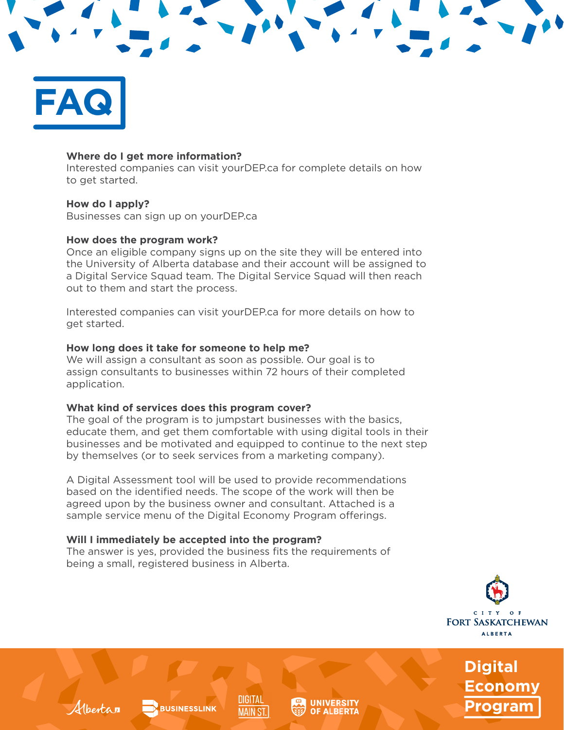# **FAQ**

#### **Where do I get more information?**

Interested companies can visit yourDEP.ca for complete details on how to get started.

## **How do I apply?**

Albertan

Businesses can sign up on yourDEP.ca

## **How does the program work?**

Once an eligible company signs up on the site they will be entered into the University of Alberta database and their account will be assigned to a Digital Service Squad team. The Digital Service Squad will then reach out to them and start the process.

Interested companies can visit yourDEP.ca for more details on how to get started.

# **How long does it take for someone to help me?**

We will assign a consultant as soon as possible. Our goal is to assign consultants to businesses within 72 hours of their completed application.

#### **What kind of services does this program cover?**

The goal of the program is to jumpstart businesses with the basics, educate them, and get them comfortable with using digital tools in their businesses and be motivated and equipped to continue to the next step by themselves (or to seek services from a marketing company).

A Digital Assessment tool will be used to provide recommendations based on the identified needs. The scope of the work will then be agreed upon by the business owner and consultant. Attached is a sample service menu of the Digital Economy Program offerings.

# **Will I immediately be accepted into the program?**

**BUSINESSLINK** 

The answer is yes, provided the business fits the requirements of being a small, registered business in Alberta.

DIGITAL

**MAIN ST**